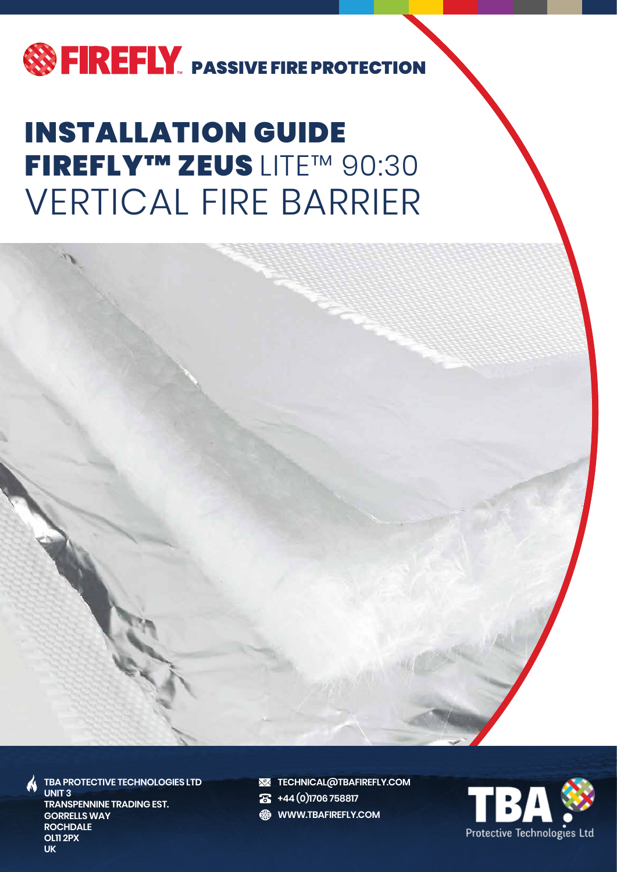

## VERTICAL FIRE BARRIER INSTALLATION GUIDE FIREFLY™ ZEUS LITE™ 90:30



**TBA PROTECTIVE TECHNOLOGIES LTD UNIT 3 TRANSPENNINE TRADING EST. GORRELLS WAY ROCHDALE OL11 2PX UK**

**XX TECHNICAL@TBAFIREFLY.COM** 

**+44 (0)1706 758817**

**ED WWW.TBAFIREFLY.COM** 

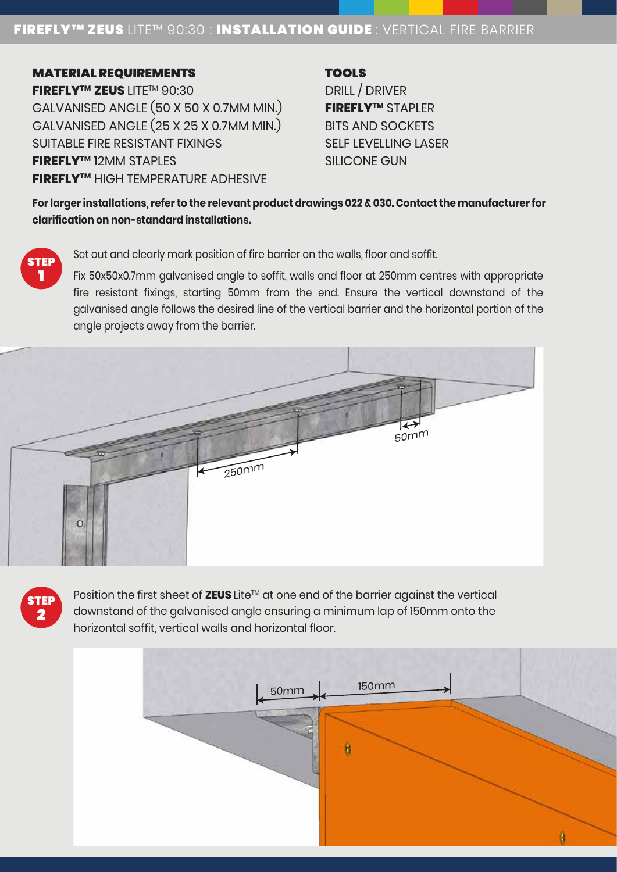## FIREFLY™ ZEUS LITE™ 90:30 : INSTALLATION GUIDE : VERTICAL FIRE BARRIER

MATERIAL REQUIREMENTS **FIREFLYTM ZEUS** LITETM 90:30 GALVANISED ANGLE (50 X 50 X 0.7MM MIN.) GALVANISED ANGLE (25 X 25 X 0.7MM MIN.) SUITABLE FIRE RESISTANT FIXINGS **FIREFLYT<sup>M</sup>** 12MM STAPLES **FIREFLYTM** HIGH TEMPERATURE ADHESIVE

**TOOLS** 

DRILL / DRIVER **FIREFLYTM** STAPLER BITS AND SOCKETS SELF LEVELLING LASER SILICONE GUN

**For larger installations, refer to the relevant product drawings 022 & 030. Contact the manufacturer for clarification on non-standard installations.**

:TE 1

> **TEI** 2

Set out and clearly mark position of fire barrier on the walls, floor and soffit.

Fix 50x50x0.7mm galvanised angle to soffit, walls and floor at 250mm centres with appropriate fire resistant fixings, starting 50mm from the end. Ensure the vertical downstand of the galvanised angle follows the desired line of the vertical barrier and the horizontal portion of the angle projects away from the barrier.



Position the first sheet of ZEUS Lite™ at one end of the barrier against the vertical downstand of the galvanised angle ensuring a minimum lap of 150mm onto the horizontal soffit, vertical walls and horizontal floor.

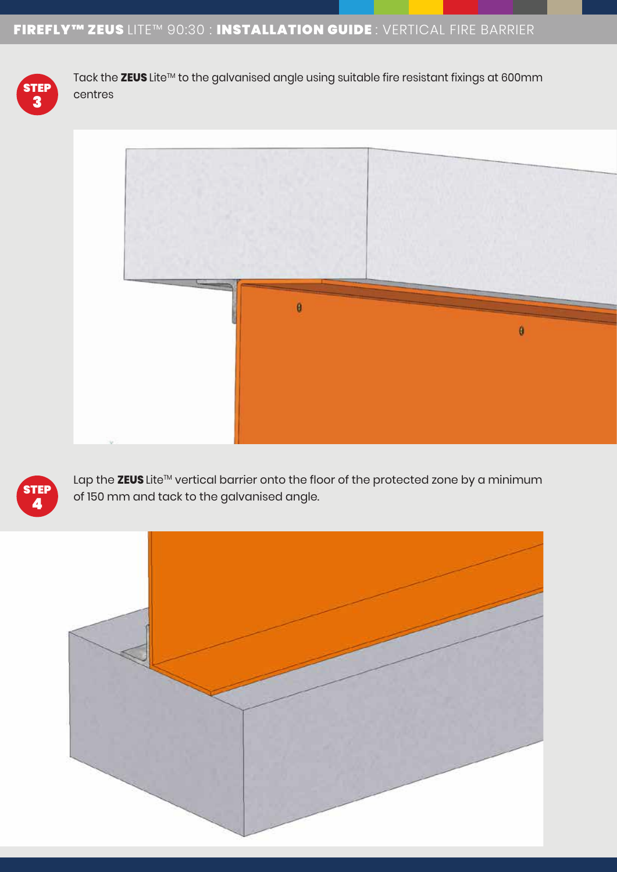

Tack the ZEUS Lite<sup>™</sup> to the galvanised angle using suitable fire resistant fixings at 600mm centres





Lap the ZEUS Lite™ vertical barrier onto the floor of the protected zone by a minimum of 150 mm and tack to the galvanised angle.

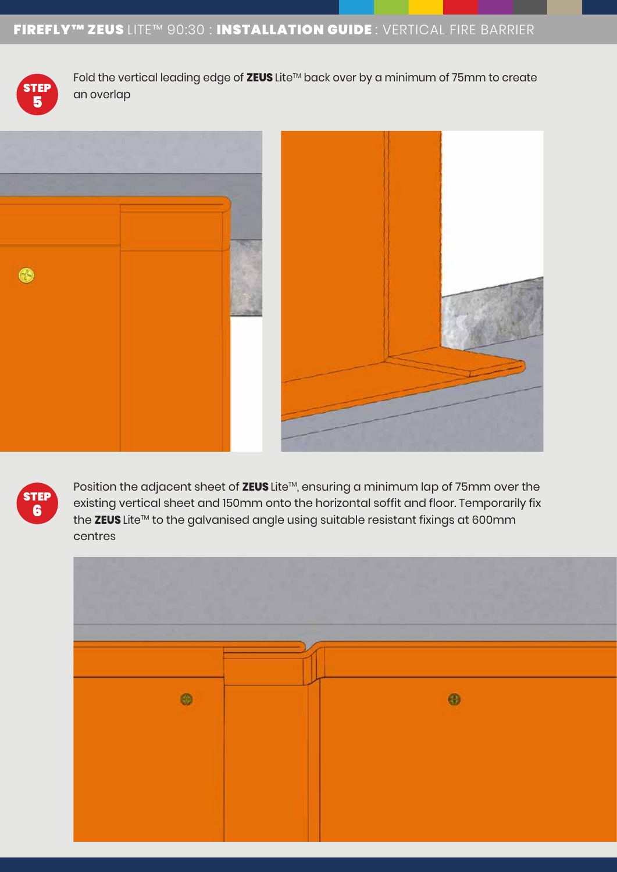

Fold the vertical leading edge of ZEUS Lite™ back over by a minimum of 75mm to create  $\overline{H}$  an overlap







Position the adjacent sheet of ZEUS Lite™, ensuring a minimum lap of 75mm over the existing vertical sheet and 150mm onto the horizontal soffit and floor. Temporarily fix the ZEUS Lite™ to the galvanised angle using suitable resistant fixings at 600mm centres

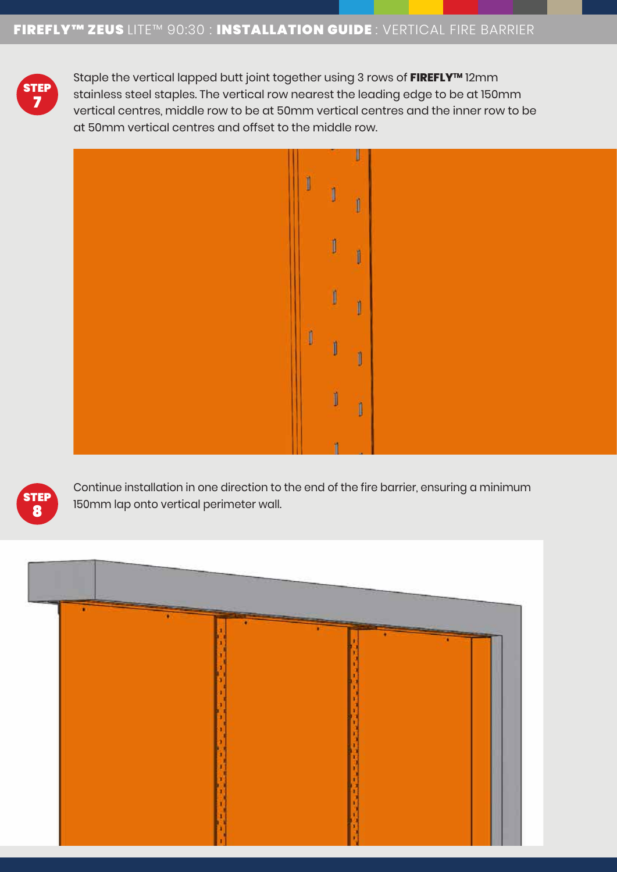

Staple the vertical lapped butt joint together using 3 rows of FIREFLY<sup>™</sup> 12mm stainless steel staples. The vertical row nearest the leading edge to be at 150mm vertical centres, middle row to be at 50mm vertical centres and the inner row to be at 50mm vertical centres and offset to the middle row.





Continue installation in one direction to the end of the fire barrier, ensuring a minimum 150mm lap onto vertical perimeter wall.

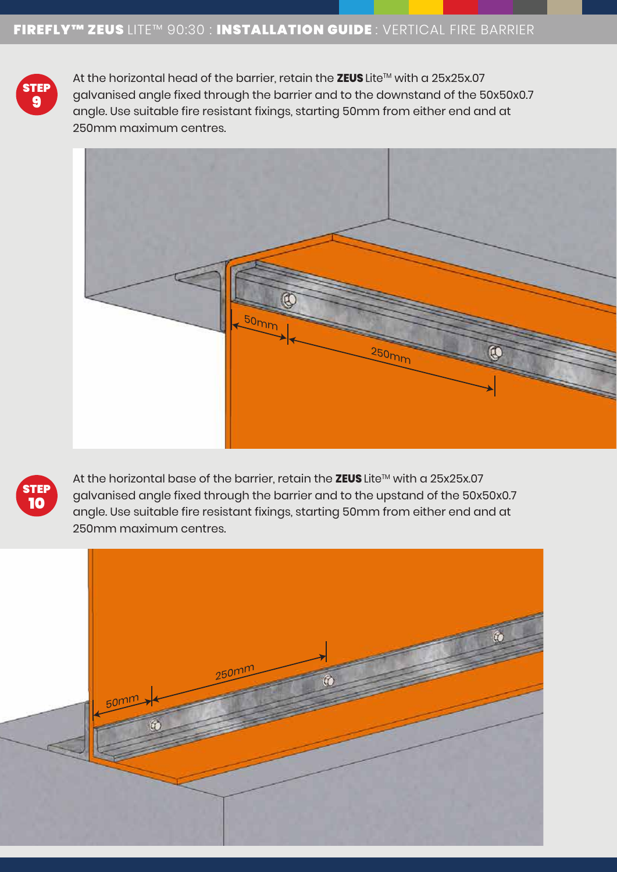

At the horizontal head of the barrier, retain the ZEUS Lite™ with a 25x25x.07 galvanised angle fixed through the barrier and to the downstand of the 50x50x0.7 angle. Use suitable fire resistant fixings, starting 50mm from either end and at 250mm maximum centres.





At the horizontal base of the barrier, retain the ZEUS Lite™ with a 25x25x.07 galvanised angle fixed through the barrier and to the upstand of the 50x50x0.7 angle. Use suitable fire resistant fixings, starting 50mm from either end and at 250mm maximum centres.

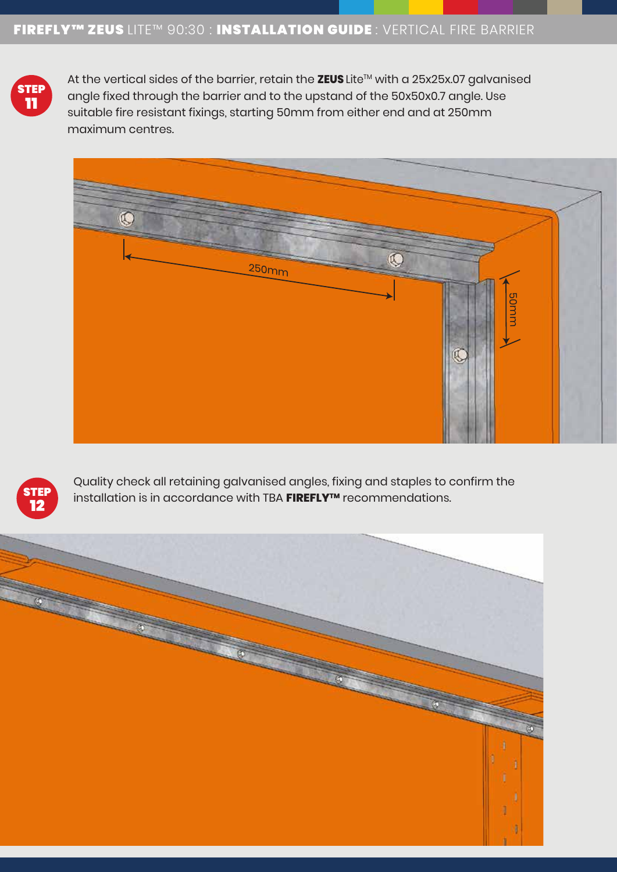

At the vertical sides of the barrier, retain the ZEUS Lite™ with a 25x25x.07 galvanised angle fixed through the barrier and to the upstand of the 50x50x0.7 angle. Use suitable fire resistant fixings, starting 50mm from either end and at 250mm maximum centres.





Quality check all retaining galvanised angles, fixing and staples to confirm the installation is in accordance with TBA FIREFLY™ recommendations.

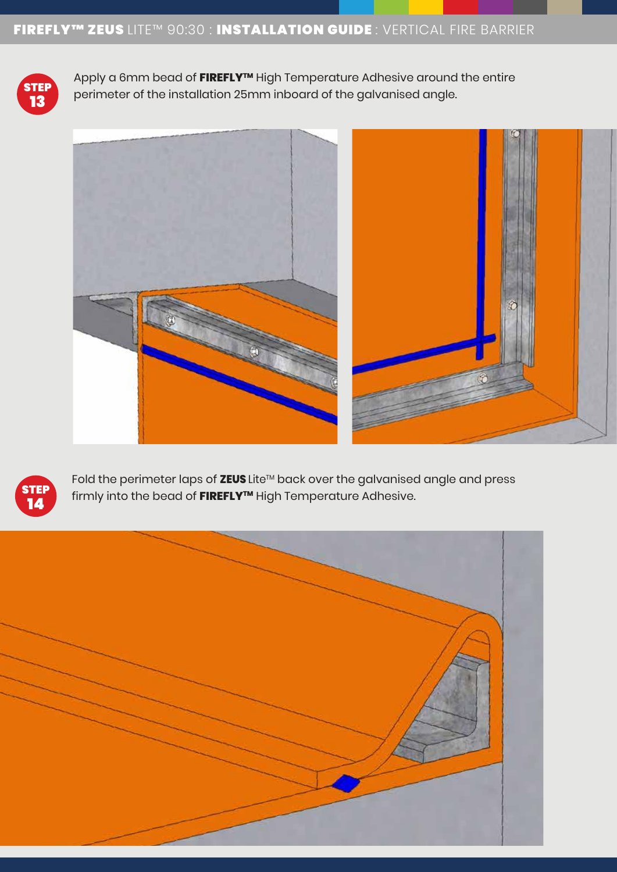

Apply a 6mm bead of **FIREFLY™** High Temperature Adhesive around the entire  $\begin{bmatrix} \text{IP} \ \text{P} \end{bmatrix}$  perimeter of the installation 25mm inboard of the galvanised angle.





Fold the perimeter laps of ZEUS Lite™ back over the galvanised angle and press firmly into the bead of FIREFLY<sup>™</sup> High Temperature Adhesive.